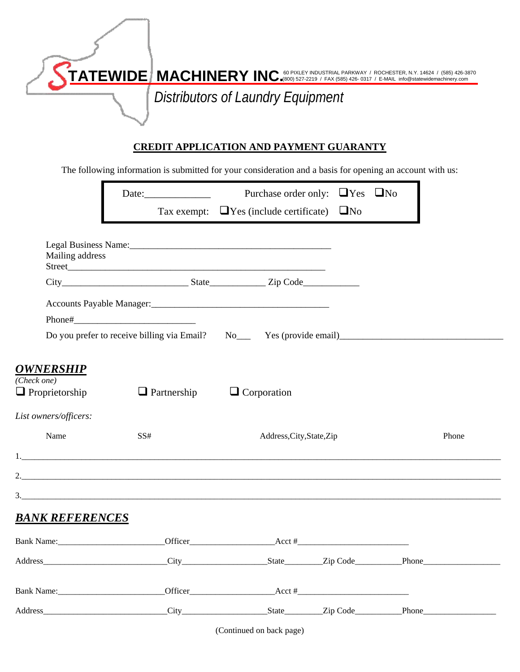| $\overline{\mathbf{TATEWIDE}}$ $\overline{\mathbf{MACHINERN}}$ $\overline{\mathbf{RY INC}}$ for pixley industrial parkway / rochester, n.y. 14624 / (585) 426-3870 |
|--------------------------------------------------------------------------------------------------------------------------------------------------------------------|
| Distributors of Laundry Equipment                                                                                                                                  |

## **CREDIT APPLICATION AND PAYMENT GUARANTY**

The following information is submitted for your consideration and a basis for opening an account with us:

|                                                                                                                                                                                                                                | Date:              | Purchase order only: $\Box$ Yes $\Box$ No                                                                                                                                                                                                                                                                                   |  |       |
|--------------------------------------------------------------------------------------------------------------------------------------------------------------------------------------------------------------------------------|--------------------|-----------------------------------------------------------------------------------------------------------------------------------------------------------------------------------------------------------------------------------------------------------------------------------------------------------------------------|--|-------|
|                                                                                                                                                                                                                                |                    | Tax exempt: $\Box$ Yes (include certificate) $\Box$ No                                                                                                                                                                                                                                                                      |  |       |
| Mailing address                                                                                                                                                                                                                |                    |                                                                                                                                                                                                                                                                                                                             |  |       |
|                                                                                                                                                                                                                                |                    |                                                                                                                                                                                                                                                                                                                             |  |       |
|                                                                                                                                                                                                                                |                    |                                                                                                                                                                                                                                                                                                                             |  |       |
|                                                                                                                                                                                                                                |                    |                                                                                                                                                                                                                                                                                                                             |  |       |
| <b>OWNERSHIP</b><br>(Check one)<br>$\Box$ Proprietorship                                                                                                                                                                       | $\Box$ Partnership | $\Box$ Corporation                                                                                                                                                                                                                                                                                                          |  |       |
| List owners/officers:                                                                                                                                                                                                          |                    |                                                                                                                                                                                                                                                                                                                             |  |       |
| Name                                                                                                                                                                                                                           | SS#                | Address, City, State, Zip                                                                                                                                                                                                                                                                                                   |  | Phone |
|                                                                                                                                                                                                                                |                    |                                                                                                                                                                                                                                                                                                                             |  |       |
|                                                                                                                                                                                                                                |                    |                                                                                                                                                                                                                                                                                                                             |  |       |
|                                                                                                                                                                                                                                |                    |                                                                                                                                                                                                                                                                                                                             |  |       |
| <b>BANK REFERENCES</b>                                                                                                                                                                                                         |                    |                                                                                                                                                                                                                                                                                                                             |  |       |
| Bank Name:                                                                                                                                                                                                                     |                    | $\text{Office}$ $\text{Note:}$                                                                                                                                                                                                                                                                                              |  |       |
|                                                                                                                                                                                                                                |                    |                                                                                                                                                                                                                                                                                                                             |  |       |
| Bank Name:                                                                                                                                                                                                                     |                    | $\text{Office}$ $\text{Def}$ $\text{I}$ $\text{Def}$ $\text{I}$ $\text{I}$ $\text{I}$ $\text{I}$ $\text{I}$ $\text{I}$ $\text{I}$ $\text{I}$ $\text{I}$ $\text{I}$ $\text{I}$ $\text{I}$ $\text{I}$ $\text{I}$ $\text{I}$ $\text{I}$ $\text{I}$ $\text{I}$ $\text{I}$ $\text{I}$ $\text{I}$ $\text{I}$ $\text{I}$ $\text{I$ |  |       |
| Address and the state of the state of the state of the state of the state of the state of the state of the state of the state of the state of the state of the state of the state of the state of the state of the state of th |                    |                                                                                                                                                                                                                                                                                                                             |  |       |

(Continued on back page)